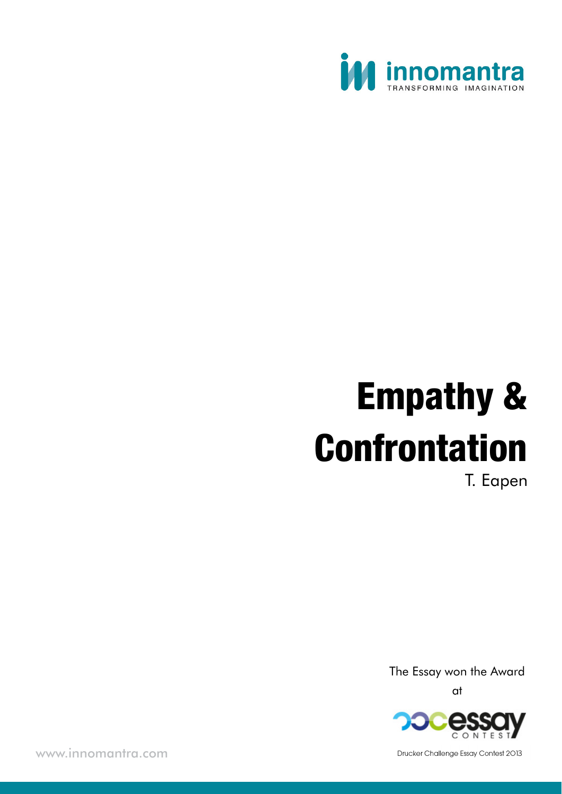

# Empathy & Confrontation T. Eapen

The Essay won the Award at



www.innomantra.com and 3013 and 3013 and 3013 and 3013 and 3013 and 3014 and 3014 and 3014 and 3014 and 3014 and 3014 and 3014 and 3014 and 3014 and 3014 and 3014 and 3014 and 3014 and 3014 and 3014 and 3014 and 3014 and 3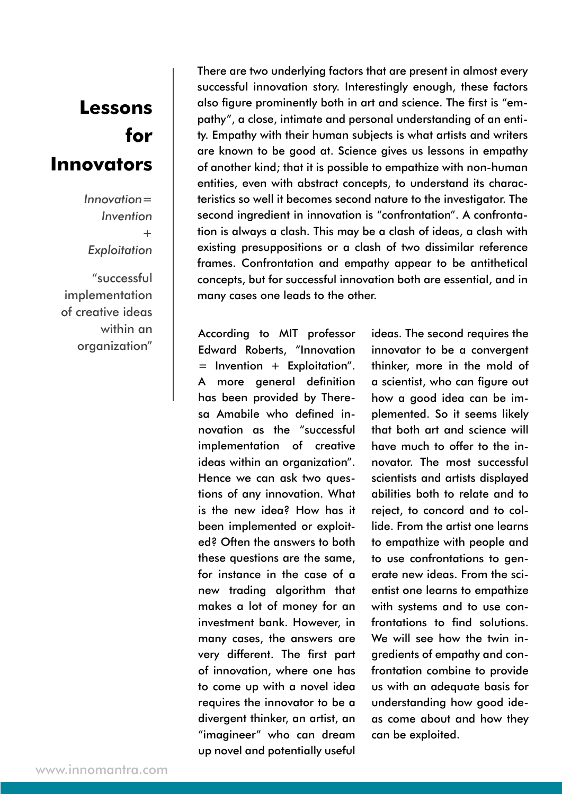### **Lessons for Innovators**

*Innovation= Invention + Exploitation*

"successful **implementation** of creative ideas within an organization"

There are two underlying factors that are present in almost every successful innovation story. Interestingly enough, these factors also figure prominently both in art and science. The first is "empathy", a close, intimate and personal understanding of an entity. Empathy with their human subjects is what artists and writers are known to be good at. Science gives us lessons in empathy of another kind; that it is possible to empathize with non-human entities, even with abstract concepts, to understand its characteristics so well it becomes second nature to the investigator. The second ingredient in innovation is "confrontation". A confrontation is always a clash. This may be a clash of ideas, a clash with existing presuppositions or a clash of two dissimilar reference frames. Confrontation and empathy appear to be antithetical concepts, but for successful innovation both are essential, and in many cases one leads to the other.

According to MIT professor Edward Roberts, "Innovation = Invention + Exploitation". A more general definition has been provided by Theresa Amabile who defined innovation as the "successful implementation of creative ideas within an organization". Hence we can ask two questions of any innovation. What is the new idea? How has it been implemented or exploited? Often the answers to both these questions are the same, for instance in the case of a new trading algorithm that makes a lot of money for an investment bank. However, in many cases, the answers are very different. The first part of innovation, where one has to come up with a novel idea requires the innovator to be a divergent thinker, an artist, an "imagineer" who can dream up novel and potentially useful

ideas. The second requires the innovator to be a convergent thinker, more in the mold of a scientist, who can figure out how a good idea can be implemented. So it seems likely that both art and science will have much to offer to the innovator. The most successful scientists and artists displayed abilities both to relate and to reject, to concord and to collide. From the artist one learns to empathize with people and to use confrontations to generate new ideas. From the scientist one learns to empathize with systems and to use confrontations to find solutions. We will see how the twin ingredients of empathy and confrontation combine to provide us with an adequate basis for understanding how good ideas come about and how they can be exploited.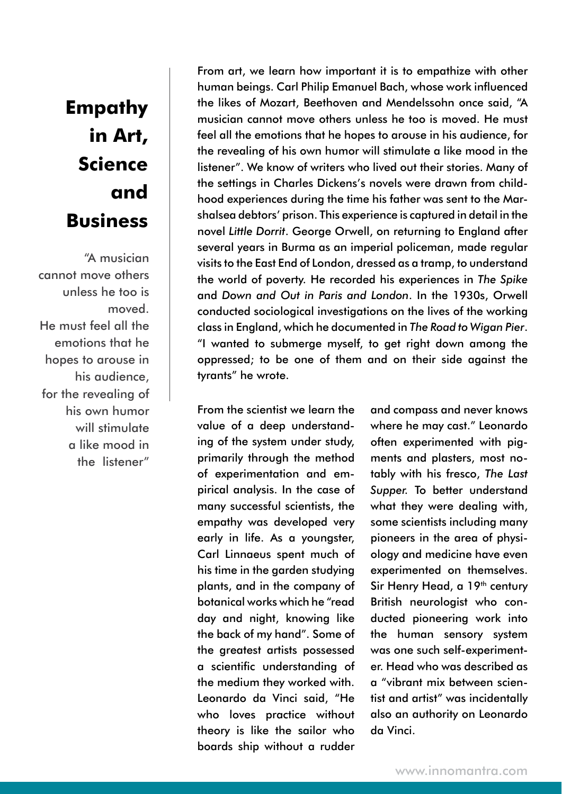## **Empathy in Art, Science and Business**

"A musician cannot move others unless he too is moved. He must feel all the emotions that he hopes to arouse in his audience, for the revealing of his own humor will stimulate a like mood in the listener"

From art, we learn how important it is to empathize with other human beings. Carl Philip Emanuel Bach, whose work influenced the likes of Mozart, Beethoven and Mendelssohn once said, "A musician cannot move others unless he too is moved. He must feel all the emotions that he hopes to arouse in his audience, for the revealing of his own humor will stimulate a like mood in the listener". We know of writers who lived out their stories. Many of the settings in Charles Dickens's novels were drawn from childhood experiences during the time his father was sent to the Marshalsea debtors' prison. This experience is captured in detail in the novel *Little Dorrit*. George Orwell, on returning to England after several years in Burma as an imperial policeman, made regular visits to the East End of London, dressed as a tramp, to understand the world of poverty. He recorded his experiences in *The Spike*  and *Down and Out in Paris and London*. In the 1930s, Orwell conducted sociological investigations on the lives of the working class in England, which he documented in *The Road to Wigan Pier*. "I wanted to submerge myself, to get right down among the oppressed; to be one of them and on their side against the tyrants" he wrote.

From the scientist we learn the value of a deep understanding of the system under study, primarily through the method of experimentation and empirical analysis. In the case of many successful scientists, the empathy was developed very early in life. As a youngster, Carl Linnaeus spent much of his time in the garden studying plants, and in the company of botanical works which he "read day and night, knowing like the back of my hand". Some of the greatest artists possessed a scientific understanding of the medium they worked with. Leonardo da Vinci said, "He who loves practice without theory is like the sailor who boards ship without a rudder

and compass and never knows where he may cast." Leonardo often experimented with pigments and plasters, most notably with his fresco, *The Last Supper.* To better understand what they were dealing with, some scientists including many pioneers in the area of physiology and medicine have even experimented on themselves. Sir Henry Head, a 19<sup>th</sup> century British neurologist who conducted pioneering work into the human sensory system was one such self-experimenter. Head who was described as a "vibrant mix between scientist and artist" was incidentally also an authority on Leonardo da Vinci.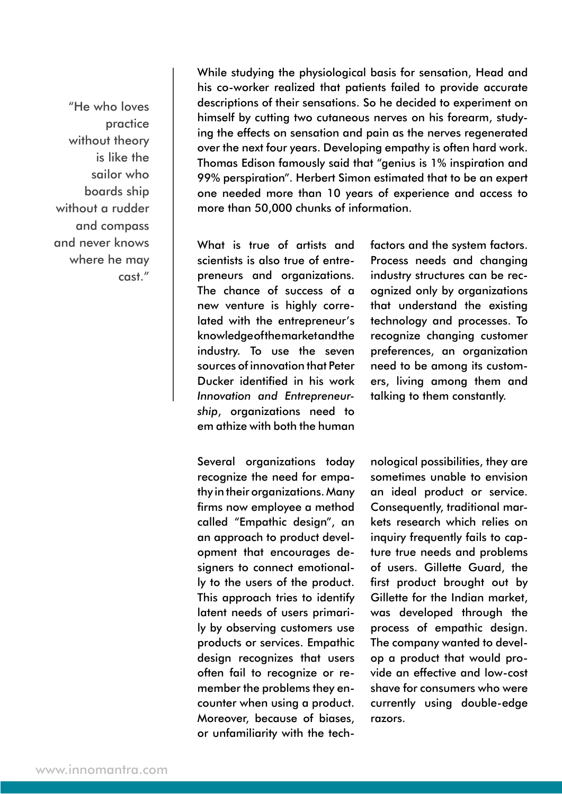"He who loves practice without theory is like the sailor who boards ship without a rudder and compass and never knows where he may cast."

While studying the physiological basis for sensation, Head and his co-worker realized that patients failed to provide accurate descriptions of their sensations. So he decided to experiment on himself by cutting two cutaneous nerves on his forearm, studying the effects on sensation and pain as the nerves regenerated over the next four years. Developing empathy is often hard work. Thomas Edison famously said that "genius is 1% inspiration and 99% perspiration". Herbert Simon estimated that to be an expert one needed more than 10 years of experience and access to more than 50,000 chunks of information.

What is true of artists and scientists is also true of entrepreneurs and organizations. The chance of success of a new venture is highly correlated with the entrepreneur's knowledge of the market and the industry. To use the seven sources of innovation that Peter Ducker identified in his work *Innovation and Entrepreneurship*, organizations need to em athize with both the human

Several organizations today recognize the need for empathy in their organizations. Many firms now employee a method called "Empathic design", an an approach to product development that encourages designers to connect emotionally to the users of the product. This approach tries to identify latent needs of users primarily by observing customers use products or services. Empathic design recognizes that users often fail to recognize or remember the problems they encounter when using a product. Moreover, because of biases, or unfamiliarity with the techfactors and the system factors. Process needs and changing industry structures can be recognized only by organizations that understand the existing technology and processes. To recognize changing customer preferences, an organization need to be among its customers, living among them and talking to them constantly.

nological possibilities, they are sometimes unable to envision an ideal product or service. Consequently, traditional markets research which relies on inquiry frequently fails to capture true needs and problems of users. Gillette Guard, the first product brought out by Gillette for the Indian market, was developed through the process of empathic design. The company wanted to develop a product that would provide an effective and low-cost shave for consumers who were currently using double-edge razors.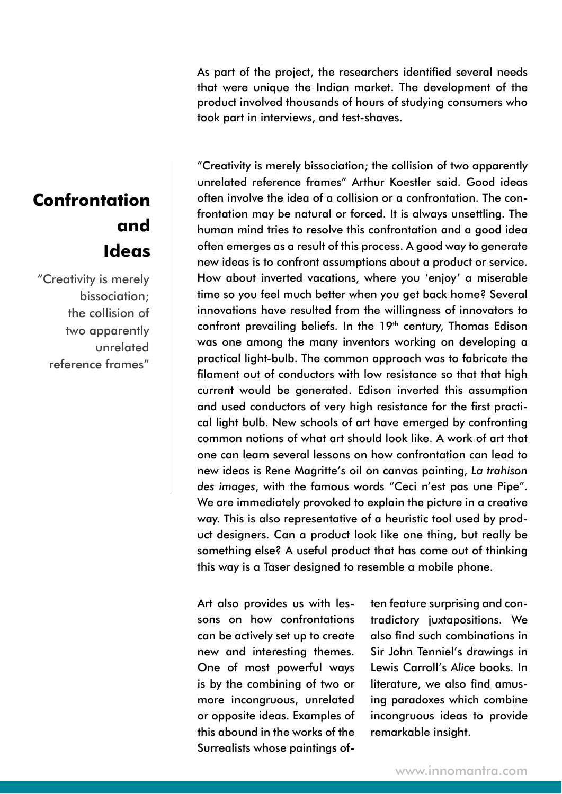As part of the project, the researchers identified several needs that were unique the Indian market. The development of the product involved thousands of hours of studying consumers who took part in interviews, and test-shaves.

#### **Confrontation and Ideas**

"Creativity is merely bissociation; the collision of two apparently unrelated reference frames"

"Creativity is merely bissociation; the collision of two apparently unrelated reference frames" Arthur Koestler said. Good ideas often involve the idea of a collision or a confrontation. The confrontation may be natural or forced. It is always unsettling. The human mind tries to resolve this confrontation and a good idea often emerges as a result of this process. A good way to generate new ideas is to confront assumptions about a product or service. How about inverted vacations, where you 'enjoy' a miserable time so you feel much better when you get back home? Several innovations have resulted from the willingness of innovators to confront prevailing beliefs. In the 19<sup>th</sup> century, Thomas Edison was one among the many inventors working on developing a practical light-bulb. The common approach was to fabricate the filament out of conductors with low resistance so that that high current would be generated. Edison inverted this assumption and used conductors of very high resistance for the first practical light bulb. New schools of art have emerged by confronting common notions of what art should look like. A work of art that one can learn several lessons on how confrontation can lead to new ideas is Rene Magritte's oil on canvas painting, *La trahison des images*, with the famous words "Ceci n'est pas une Pipe". We are immediately provoked to explain the picture in a creative way. This is also representative of a heuristic tool used by product designers. Can a product look like one thing, but really be something else? A useful product that has come out of thinking this way is a Taser designed to resemble a mobile phone.

Art also provides us with lessons on how confrontations can be actively set up to create new and interesting themes. One of most powerful ways is by the combining of two or more incongruous, unrelated or opposite ideas. Examples of this abound in the works of the Surrealists whose paintings often feature surprising and contradictory juxtapositions. We also find such combinations in Sir John Tenniel's drawings in Lewis Carroll's *Alice* books. In literature, we also find amusing paradoxes which combine incongruous ideas to provide remarkable insight.

www.innomantra.com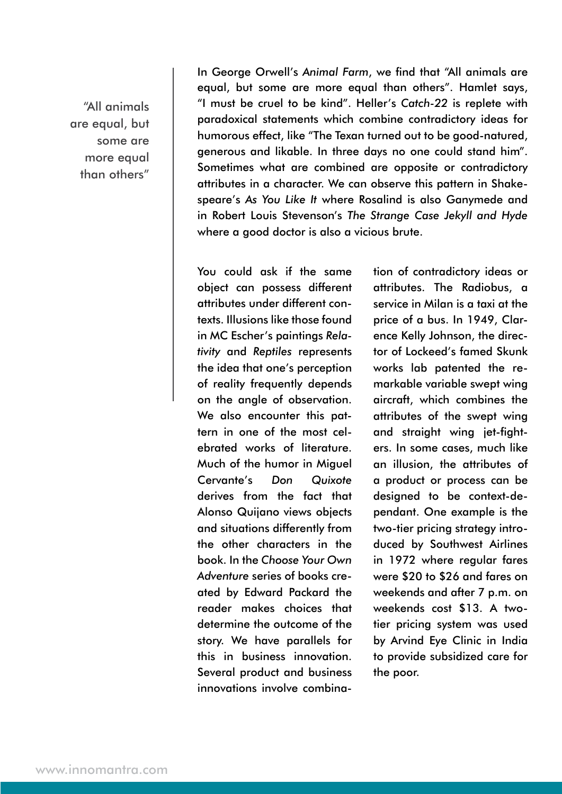"All animals are equal, but some are more equal than others"

In George Orwell's *Animal Farm*, we find that "All animals are equal, but some are more equal than others". Hamlet says, "I must be cruel to be kind". Heller's *Catch-22* is replete with paradoxical statements which combine contradictory ideas for humorous effect, like "The Texan turned out to be good-natured, generous and likable. In three days no one could stand him". Sometimes what are combined are opposite or contradictory attributes in a character. We can observe this pattern in Shakespeare's *As You Like It* where Rosalind is also Ganymede and in Robert Louis Stevenson's *The Strange Case Jekyll and Hyde* where a good doctor is also a vicious brute.

You could ask if the same object can possess different attributes under different contexts. Illusions like those found in MC Escher's paintings *Relativity* and *Reptiles* represents the idea that one's perception of reality frequently depends on the angle of observation. We also encounter this pattern in one of the most celebrated works of literature. Much of the humor in Miguel Cervante's *Don Quixote* derives from the fact that Alonso Quijano views objects and situations differently from the other characters in the book. In the *Choose Your Own Adventure* series of books created by Edward Packard the reader makes choices that determine the outcome of the story. We have parallels for this in business innovation. Several product and business innovations involve combination of contradictory ideas or attributes. The Radiobus, a service in Milan is a taxi at the price of a bus. In 1949, Clarence Kelly Johnson, the director of Lockeed's famed Skunk works lab patented the remarkable variable swept wing aircraft, which combines the attributes of the swept wing and straight wing jet-fighters. In some cases, much like an illusion, the attributes of a product or process can be designed to be context-dependant. One example is the two-tier pricing strategy introduced by Southwest Airlines in 1972 where regular fares were \$20 to \$26 and fares on weekends and after 7 p.m. on weekends cost \$13. A twotier pricing system was used by Arvind Eye Clinic in India to provide subsidized care for the poor.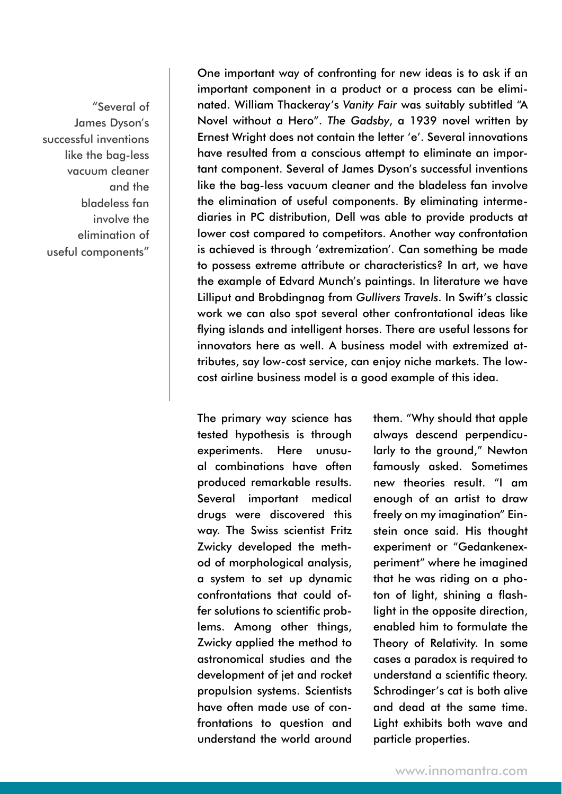"Several of James Dyson's successful inventions like the bag-less vacuum cleaner and the bladeless fan involve the elimination of useful components"

One important way of confronting for new ideas is to ask if an important component in a product or a process can be eliminated. William Thackeray's *Vanity Fair* was suitably subtitled "A Novel without a Hero". *The Gadsby*, a 1939 novel written by Ernest Wright does not contain the letter 'e'. Several innovations have resulted from a conscious attempt to eliminate an important component. Several of James Dyson's successful inventions like the bag-less vacuum cleaner and the bladeless fan involve the elimination of useful components. By eliminating intermediaries in PC distribution, Dell was able to provide products at lower cost compared to competitors. Another way confrontation is achieved is through 'extremization'. Can something be made to possess extreme attribute or characteristics? In art, we have the example of Edvard Munch's paintings. In literature we have Lilliput and Brobdingnag from *Gullivers Travels*. In Swift's classic work we can also spot several other confrontational ideas like flying islands and intelligent horses. There are useful lessons for innovators here as well. A business model with extremized attributes, say low-cost service, can enjoy niche markets. The lowcost airline business model is a good example of this idea.

The primary way science has tested hypothesis is through experiments. Here unusual combinations have often produced remarkable results. Several important medical drugs were discovered this way. The Swiss scientist Fritz Zwicky developed the method of morphological analysis, a system to set up dynamic confrontations that could offer solutions to scientific problems. Among other things, Zwicky applied the method to astronomical studies and the development of jet and rocket propulsion systems. Scientists have often made use of confrontations to question and understand the world around

them. "Why should that apple always descend perpendicularly to the ground," Newton famously asked. Sometimes new theories result. "I am enough of an artist to draw freely on my imagination" Einstein once said. His thought experiment or "Gedankenexperiment" where he imagined that he was riding on a photon of light, shining a flashlight in the opposite direction, enabled him to formulate the Theory of Relativity. In some cases a paradox is required to understand a scientific theory. Schrodinger's cat is both alive and dead at the same time. Light exhibits both wave and particle properties.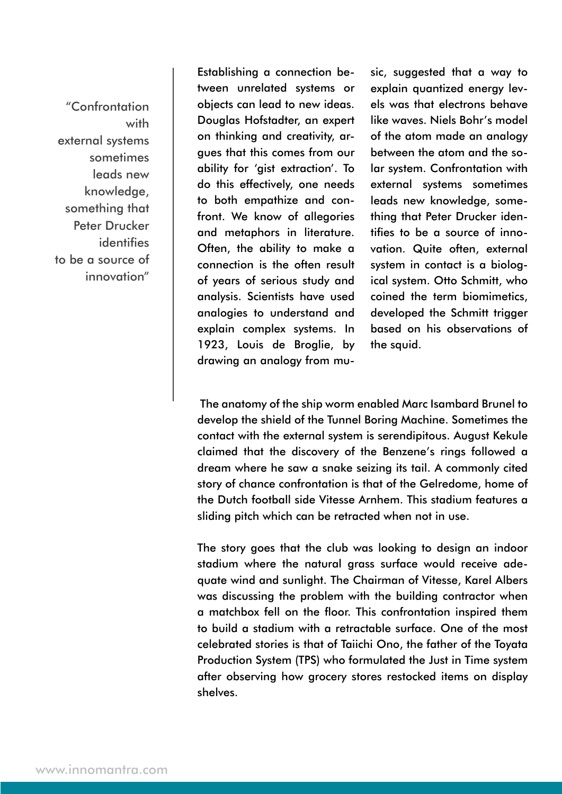"Confrontation with external systems sometimes leads new knowledge, something that Peter Drucker identifies to be a source of innovation"

Establishing a connection between unrelated systems or objects can lead to new ideas. Douglas Hofstadter, an expert on thinking and creativity, argues that this comes from our ability for 'gist extraction'. To do this effectively, one needs to both empathize and confront. We know of allegories and metaphors in literature. Often, the ability to make a connection is the often result of years of serious study and analysis. Scientists have used analogies to understand and explain complex systems. In 1923, Louis de Broglie, by drawing an analogy from music, suggested that a way to explain quantized energy levels was that electrons behave like waves. Niels Bohr's model of the atom made an analogy between the atom and the solar system. Confrontation with external systems sometimes leads new knowledge, something that Peter Drucker identifies to be a source of innovation. Quite often, external system in contact is a biological system. Otto Schmitt, who coined the term biomimetics, developed the Schmitt trigger based on his observations of the squid.

 The anatomy of the ship worm enabled Marc Isambard Brunel to develop the shield of the Tunnel Boring Machine. Sometimes the contact with the external system is serendipitous. August Kekule claimed that the discovery of the Benzene's rings followed a dream where he saw a snake seizing its tail. A commonly cited story of chance confrontation is that of the Gelredome, home of the Dutch football side Vitesse Arnhem. This stadium features a sliding pitch which can be retracted when not in use.

The story goes that the club was looking to design an indoor stadium where the natural grass surface would receive adequate wind and sunlight. The Chairman of Vitesse, Karel Albers was discussing the problem with the building contractor when a matchbox fell on the floor. This confrontation inspired them to build a stadium with a retractable surface. One of the most celebrated stories is that of Taiichi Ono, the father of the Toyata Production System (TPS) who formulated the Just in Time system after observing how grocery stores restocked items on display shelves.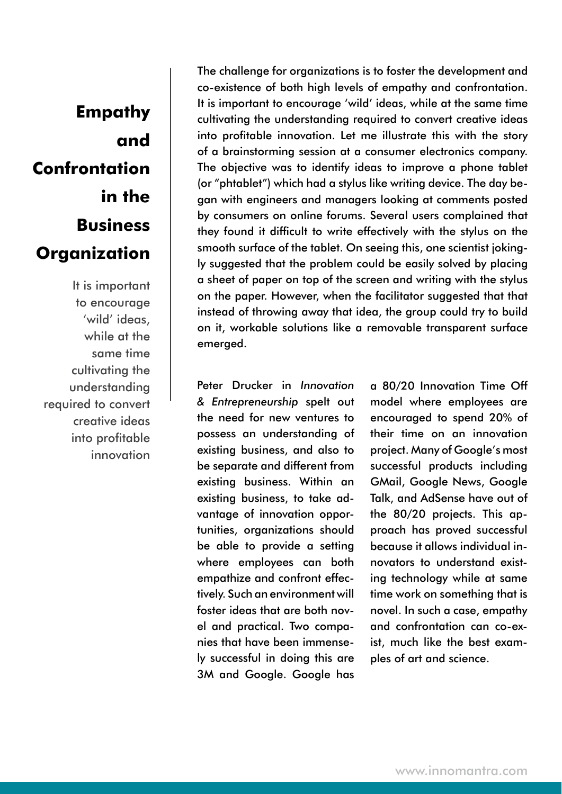## **Empathy and Confrontation in the Business Organization**

It is important to encourage 'wild' ideas, while at the same time cultivating the understanding required to convert creative ideas into profitable innovation The challenge for organizations is to foster the development and co-existence of both high levels of empathy and confrontation. It is important to encourage 'wild' ideas, while at the same time cultivating the understanding required to convert creative ideas into profitable innovation. Let me illustrate this with the story of a brainstorming session at a consumer electronics company. The objective was to identify ideas to improve a phone tablet (or "phtablet") which had a stylus like writing device. The day began with engineers and managers looking at comments posted by consumers on online forums. Several users complained that they found it difficult to write effectively with the stylus on the smooth surface of the tablet. On seeing this, one scientist jokingly suggested that the problem could be easily solved by placing a sheet of paper on top of the screen and writing with the stylus on the paper. However, when the facilitator suggested that that instead of throwing away that idea, the group could try to build on it, workable solutions like a removable transparent surface emerged.

Peter Drucker in *Innovation & Entrepreneurship* spelt out the need for new ventures to possess an understanding of existing business, and also to be separate and different from existing business. Within an existing business, to take advantage of innovation opportunities, organizations should be able to provide a setting where employees can both empathize and confront effectively. Such an environment will foster ideas that are both novel and practical. Two companies that have been immensely successful in doing this are 3M and Google. Google has

a 80/20 Innovation Time Off model where employees are encouraged to spend 20% of their time on an innovation project. Many of Google's most successful products including GMail, Google News, Google Talk, and AdSense have out of the 80/20 projects. This approach has proved successful because it allows individual innovators to understand existing technology while at same time work on something that is novel. In such a case, empathy and confrontation can co-exist, much like the best examples of art and science.